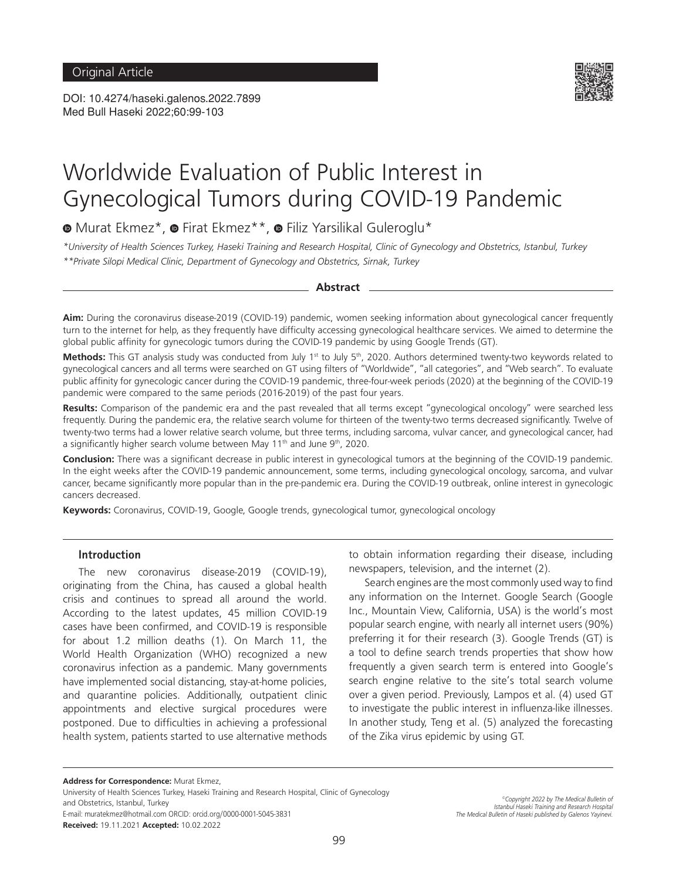DOI: 10.4274/haseki.galenos.2022.7899 Med Bull Haseki 2022;60:99-103



# Worldwide Evaluation of Public Interest in Gynecological Tumors during COVID-19 Pandemic

 $\bullet$ Murat Ekmez\*,  $\bullet$  Firat Ekmez\*\*,  $\bullet$  Filiz Yarsilikal Guleroglu\*

*\*University of Health Sciences Turkey, Haseki Training and Research Hospital, Clinic of Gynecology and Obstetrics, Istanbul, Turkey \*\*Private Silopi Medical Clinic, Department of Gynecology and Obstetrics, Sirnak, Turkey*

#### **Abstract**

**Aim:** During the coronavirus disease-2019 (COVID-19) pandemic, women seeking information about gynecological cancer frequently turn to the internet for help, as they frequently have difficulty accessing gynecological healthcare services. We aimed to determine the global public affinity for gynecologic tumors during the COVID-19 pandemic by using Google Trends (GT).

Methods: This GT analysis study was conducted from July 1<sup>st</sup> to July 5<sup>th</sup>, 2020. Authors determined twenty-two keywords related to gynecological cancers and all terms were searched on GT using filters of "Worldwide", "all categories", and "Web search". To evaluate public affinity for gynecologic cancer during the COVID-19 pandemic, three-four-week periods (2020) at the beginning of the COVID-19 pandemic were compared to the same periods (2016-2019) of the past four years.

**Results:** Comparison of the pandemic era and the past revealed that all terms except "gynecological oncology" were searched less frequently. During the pandemic era, the relative search volume for thirteen of the twenty-two terms decreased significantly. Twelve of twenty-two terms had a lower relative search volume, but three terms, including sarcoma, vulvar cancer, and gynecological cancer, had a significantly higher search volume between May  $11<sup>th</sup>$  and June  $9<sup>th</sup>$ , 2020.

**Conclusion:** There was a significant decrease in public interest in gynecological tumors at the beginning of the COVID-19 pandemic. In the eight weeks after the COVID-19 pandemic announcement, some terms, including gynecological oncology, sarcoma, and vulvar cancer, became significantly more popular than in the pre-pandemic era. During the COVID-19 outbreak, online interest in gynecologic cancers decreased.

**Keywords:** Coronavirus, COVID-19, Google, Google trends, gynecological tumor, gynecological oncology

#### **Introduction**

The new coronavirus disease-2019 (COVID-19), originating from the China, has caused a global health crisis and continues to spread all around the world. According to the latest updates, 45 million COVID-19 cases have been confirmed, and COVID-19 is responsible for about 1.2 million deaths (1). On March 11, the World Health Organization (WHO) recognized a new coronavirus infection as a pandemic. Many governments have implemented social distancing, stay-at-home policies, and quarantine policies. Additionally, outpatient clinic appointments and elective surgical procedures were postponed. Due to difficulties in achieving a professional health system, patients started to use alternative methods to obtain information regarding their disease, including newspapers, television, and the internet (2).

Search engines are the most commonly used way to find any information on the Internet. Google Search (Google Inc., Mountain View, California, USA) is the world's most popular search engine, with nearly all internet users (90%) preferring it for their research (3). Google Trends (GT) is a tool to define search trends properties that show how frequently a given search term is entered into Google's search engine relative to the site's total search volume over a given period. Previously, Lampos et al. (4) used GT to investigate the public interest in influenza-like illnesses. In another study, Teng et al. (5) analyzed the forecasting of the Zika virus epidemic by using GT.

**Address for Correspondence:** Murat Ekmez,

University of Health Sciences Turkey, Haseki Training and Research Hospital, Clinic of Gynecology and Obstetrics, Istanbul, Turkey

E-mail: muratekmez@hotmail.com ORCID: orcid.org/0000-0001-5045-3831 **Received:** 19.11.2021 **Accepted:** 10.02.2022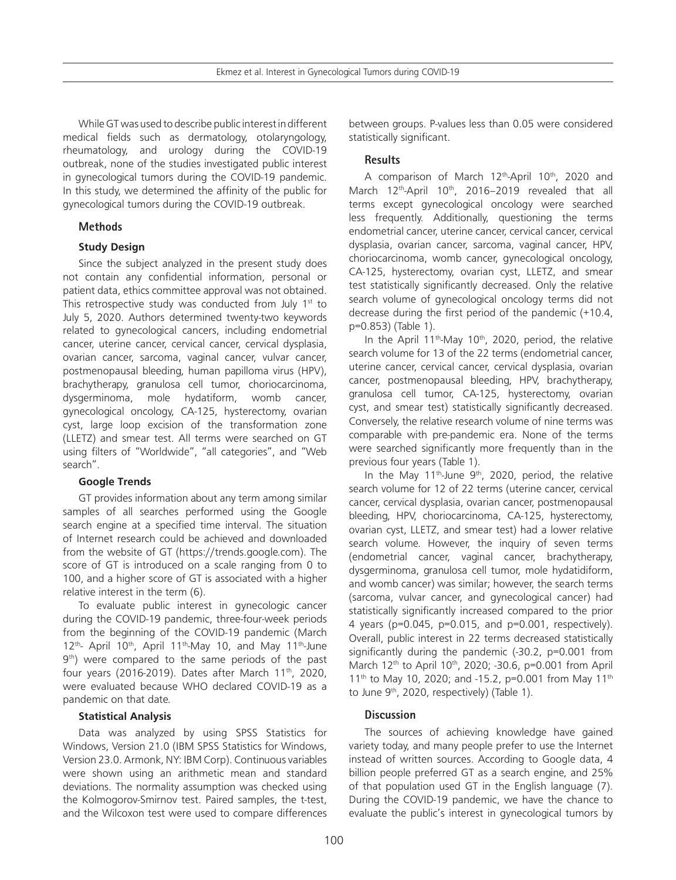While GT was used to describe public interest in different medical fields such as dermatology, otolaryngology, rheumatology, and urology during the COVID-19 outbreak, none of the studies investigated public interest in gynecological tumors during the COVID-19 pandemic. In this study, we determined the affinity of the public for gynecological tumors during the COVID-19 outbreak.

# **Methods**

## **Study Design**

Since the subject analyzed in the present study does not contain any confidential information, personal or patient data, ethics committee approval was not obtained. This retrospective study was conducted from July  $1<sup>st</sup>$  to July 5, 2020. Authors determined twenty-two keywords related to gynecological cancers, including endometrial cancer, uterine cancer, cervical cancer, cervical dysplasia, ovarian cancer, sarcoma, vaginal cancer, vulvar cancer, postmenopausal bleeding, human papilloma virus (HPV), brachytherapy, granulosa cell tumor, choriocarcinoma, dysgerminoma, mole hydatiform, womb cancer, gynecological oncology, CA-125, hysterectomy, ovarian cyst, large loop excision of the transformation zone (LLETZ) and smear test. All terms were searched on GT using filters of "Worldwide", "all categories", and "Web search".

## **Google Trends**

GT provides information about any term among similar samples of all searches performed using the Google search engine at a specified time interval. The situation of Internet research could be achieved and downloaded from the website of GT (https://trends.google.com). The score of GT is introduced on a scale ranging from 0 to 100, and a higher score of GT is associated with a higher relative interest in the term (6).

To evaluate public interest in gynecologic cancer during the COVID-19 pandemic, three-four-week periods from the beginning of the COVID-19 pandemic (March  $12^{th}$ - April 10<sup>th</sup>, April 11<sup>th</sup>-May 10, and May 11<sup>th</sup>-June 9<sup>th</sup>) were compared to the same periods of the past four years (2016-2019). Dates after March 11<sup>th</sup>, 2020, were evaluated because WHO declared COVID-19 as a pandemic on that date.

## **Statistical Analysis**

Data was analyzed by using SPSS Statistics for Windows, Version 21.0 (IBM SPSS Statistics for Windows, Version 23.0. Armonk, NY: IBM Corp). Continuous variables were shown using an arithmetic mean and standard deviations. The normality assumption was checked using the Kolmogorov-Smirnov test. Paired samples, the t-test, and the Wilcoxon test were used to compare differences

between groups. P-values less than 0.05 were considered statistically significant.

# **Results**

A comparison of March 12<sup>th</sup>-April 10<sup>th</sup>, 2020 and March  $12<sup>th</sup>$ -April  $10<sup>th</sup>$ , 2016–2019 revealed that all terms except gynecological oncology were searched less frequently. Additionally, questioning the terms endometrial cancer, uterine cancer, cervical cancer, cervical dysplasia, ovarian cancer, sarcoma, vaginal cancer, HPV, choriocarcinoma, womb cancer, gynecological oncology, CA-125, hysterectomy, ovarian cyst, LLETZ, and smear test statistically significantly decreased. Only the relative search volume of gynecological oncology terms did not decrease during the first period of the pandemic (+10.4, p=0.853) (Table 1).

In the April 11<sup>th</sup>-May 10<sup>th</sup>, 2020, period, the relative search volume for 13 of the 22 terms (endometrial cancer, uterine cancer, cervical cancer, cervical dysplasia, ovarian cancer, postmenopausal bleeding, HPV, brachytherapy, granulosa cell tumor, CA-125, hysterectomy, ovarian cyst, and smear test) statistically significantly decreased. Conversely, the relative research volume of nine terms was comparable with pre-pandemic era. None of the terms were searched significantly more frequently than in the previous four years (Table 1).

In the May 11<sup>th</sup>-June 9<sup>th</sup>, 2020, period, the relative search volume for 12 of 22 terms (uterine cancer, cervical cancer, cervical dysplasia, ovarian cancer, postmenopausal bleeding, HPV, choriocarcinoma, CA-125, hysterectomy, ovarian cyst, LLETZ, and smear test) had a lower relative search volume. However, the inquiry of seven terms (endometrial cancer, vaginal cancer, brachytherapy, dysgerminoma, granulosa cell tumor, mole hydatidiform, and womb cancer) was similar; however, the search terms (sarcoma, vulvar cancer, and gynecological cancer) had statistically significantly increased compared to the prior 4 years (p=0.045, p=0.015, and p=0.001, respectively). Overall, public interest in 22 terms decreased statistically significantly during the pandemic (-30.2, p=0.001 from March 12<sup>th</sup> to April 10<sup>th</sup>, 2020; -30.6, p=0.001 from April 11<sup>th</sup> to May 10, 2020; and -15.2, p=0.001 from May 11<sup>th</sup> to June  $9<sup>th</sup>$ , 2020, respectively) (Table 1).

# **Discussion**

The sources of achieving knowledge have gained variety today, and many people prefer to use the Internet instead of written sources. According to Google data, 4 billion people preferred GT as a search engine, and 25% of that population used GT in the English language (7). During the COVID-19 pandemic, we have the chance to evaluate the public's interest in gynecological tumors by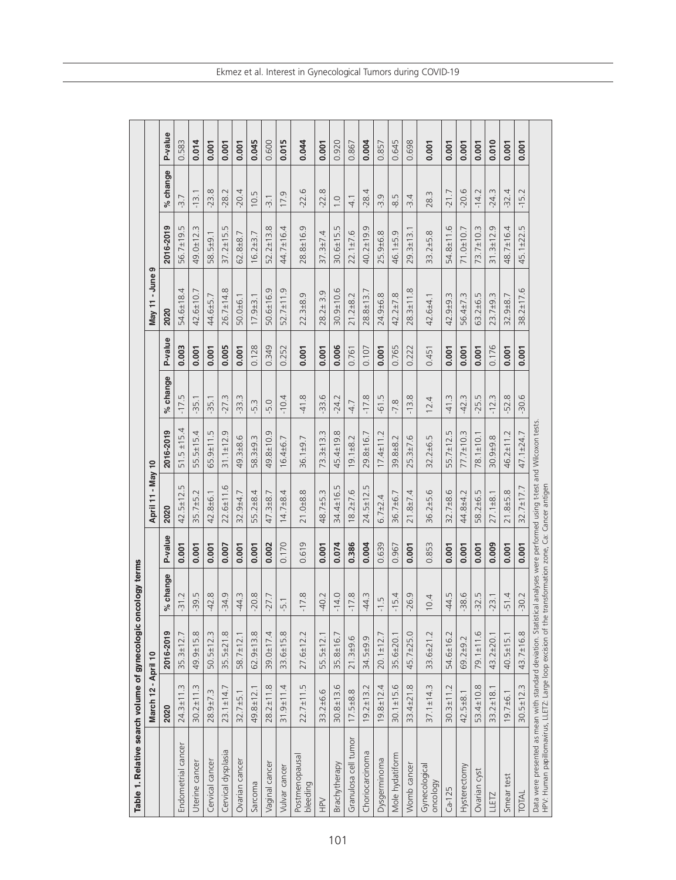| Table 1. Relative search volume of gynecologic or                                                                            |                 |                 | ncology terms |         |                                                                                                          |                     |                     |         |                              |                     |                        |         |
|------------------------------------------------------------------------------------------------------------------------------|-----------------|-----------------|---------------|---------|----------------------------------------------------------------------------------------------------------|---------------------|---------------------|---------|------------------------------|---------------------|------------------------|---------|
|                                                                                                                              | March 12        | - April 10      |               |         | April 11 - May 10                                                                                        |                     |                     |         | May 11 - June                | ၜ                   |                        |         |
|                                                                                                                              | 2020            | 2016-2019       | % change      | P-value | 2020                                                                                                     | 2016-2019           | % change            | P-value | 2020                         | 2016-2019           | % change               | P-value |
| Endometrial cancer                                                                                                           | $24.3 \pm 11.3$ | $35.3 \pm 12.7$ | $-31.2$       | 0.001   | 5<br>$42.5 \pm 12.$                                                                                      | $51.5 \pm 15.4$     | $-17.5$             | 0.003   | 4<br>54.6±18.                | 56.7±19.5           | $-3.7$                 | 0.583   |
| Uterine cancer                                                                                                               | $30.2 \pm 11.3$ | 49.9±15.8       | $-39.5$       | 0.001   | $35.7 + 5.2$                                                                                             | $55.5 \pm 15.4$     | $-35.1$             | 0.001   | 42.6±10.7                    | 49.0±12.3           | $-13.1$                | 0.014   |
| Cervical cancer                                                                                                              | 28.9±7.3        | $50.5 \pm 12.3$ | $-42.8$       | 0.001   | 42.8±6.1                                                                                                 | $65.9 \pm 11.5$     | $-35.1$             | 0.001   | 44.6±5.7                     | 58.5±9.1            | $-23.8$                | 0.001   |
| Cervical dysplasia                                                                                                           | $23.1 \pm 14.$  | $35.5 \pm 21.8$ | $-34.9$       | 0.007   | $22.6 \pm 11.6$                                                                                          | $31.1 \pm 12.9$     | $-27.3$             | 0.005   | $26.7 \pm 14.8$              | $37.2 \pm 15.5$     | $-28.2$                | 0.001   |
| Ovarian cancer                                                                                                               | $32.7 + 5.1$    | $58.7 \pm 12.1$ | $-44.3$       | 0.001   | $32.9 + 4.7$                                                                                             | 49.3±8.6            | $-33.3$             | 0.001   | 50.0±6.1                     | 62.8±8.7            | $-20.4$                | 0.001   |
| Sarcoma                                                                                                                      | 49.8±12.        | $62.9 \pm 13.8$ | $-20.8$       | 0.001   | 55.2±8.4                                                                                                 | 58.3±9.3            | $-5.3$              | 0.128   | $17.9 + 3.1$                 | $16.2 + 3.7$        | LN<br>$\overline{O}$ . | 0.045   |
| Vaginal cancer                                                                                                               | $28.2 \pm 11.8$ | $39.0 \pm 17.4$ | $-27.7$       | 0.002   | 47.3±8.7                                                                                                 | 49.8±10.9           | $-5.0$              | 0.349   | 50.6±16.9                    | $52.2 \pm 13.8$     | $-3.1$                 | 0.600   |
| Vulvar cancer                                                                                                                | $31.9 + 11.4$   | 33.6±15.8       | $-5.1$        | 0.170   | $14.7 + 8.4$                                                                                             | $16.4 + 6.7$        | $-10.4$             | 0.252   | $52.7 \pm 11.9$              | 44.7±16.4           | 17.9                   | 0.015   |
| Postmenopausal<br>bleeding                                                                                                   | $22.7 \pm 11.5$ | $27.6 \pm 12.2$ | $-17.8$       | 0.619   | $21.0 + 8.8$                                                                                             | $36.1 + 9.7$        | œ.<br>$\frac{1}{4}$ | 0.001   | $22.3 + 8.9$                 | 28.8±16.9           | $-22.6$                | 0.044   |
| $rac{1}{2}$                                                                                                                  | 33.2±6.6        | 55.5±12.1       | $-40.2$       | 0.001   | 48.7±5.3                                                                                                 | S<br>$73.3 \pm 13.$ | $-33.6$             | 0.001   | 9<br>$\overline{m}$<br>28.2± | 4<br>$37.3 \pm 7$   | $\infty$<br>-22.       | 0.001   |
| Brachytherapy                                                                                                                | $30.8 + 13.6$   | 35.8±16.7       | $-14.0$       | 0.074   | 34.4±16.5                                                                                                | 45.4±19.8           | $-24.2$             | 0.006   | $30.9 + 10.6$                | $30.6 \pm 15.5$     | $\overline{1}$ .0      | 0.920   |
| Granulosa cell tumor                                                                                                         | $17.5 + 8.8$    | $21.3 + 9.6$    | $-17.8$       | 0.386   | $8.2 \pm 7.6$                                                                                            | $19.1 + 8.2$        | $-4.7$              | 0.761   | $21.2 + 8.2$                 | $22.1 + 7.6$        | $\frac{1}{4}$          | 0.867   |
| Choriocarcinoma                                                                                                              | $19.2 \pm 13.2$ | 34.5±9.9        | -44.3         | 0.004   | $24.5 \pm 12.5$                                                                                          | 29.8±16.7           | $-17.8$             | 0.107   | 28.8±13.7                    | 40.2±19.9           | $-28.4$                | 0.004   |
| Dysgerminoma                                                                                                                 | $19.8 \pm 12.4$ | $20.1 \pm 12.7$ | $-1.5$        | 0.639   | $6.7 + 2.4$                                                                                              | $17.4 \pm 11.2$     | $-61.5$             | 0.001   | 24.9±6.8                     | 25.9±6.8            | -3.9                   | 0.857   |
| Mole hydatiform                                                                                                              | $30.1 \pm 15.6$ | 35.6±20.1       | $-15.4$       | 0.967   | 36.7±6.7                                                                                                 | 39.8±8.2            | $-7.8$              | 0.765   | $42.2 \pm 7.8$               | 46.1±5.9            | 8.5                    | 0.645   |
| Womb cancer                                                                                                                  | 33.4±21.8       | 45.7±25.0       | $-26.9$       | 0.001   | $21.8 + 7.4$                                                                                             | $25.3 \pm 7.6$      | $-13.8$             | 0.222   | $28.3 \pm 11.8$              | $29.3 \pm 13.$      | $-3.4$                 | 0.698   |
| Gynecologica<br>oncology                                                                                                     | $37.1 \pm 14.3$ | 33.6±21.2       | 10.4          | 0.853   | $36.2 + 5.6$                                                                                             | $32.2 + 6.5$        | 12.4                | 0.451   | 42.6±4.1                     | $33.2 + 5.8$        | 28.3                   | 0.001   |
| $Ca-125$                                                                                                                     | $30.3 \pm 11.2$ | 54.6±16.2       | $-44.5$       | 0.001   | $32.7 + 8.6$                                                                                             | 55.7±12.5           | $-41.3$             | 0.001   | 42.9±9.3                     | $54.8 \pm 11.6$     | $-21.7$                | 0.001   |
| Hysterectomy                                                                                                                 | $42.5 + 8.1$    | 69.2±9.2        | $-38.6$       | 0.001   | 44.8±4.2                                                                                                 | 77.7±10.3           | $-42.3$             | 0.001   | 56.4±7.3                     | 71.0±10.7           | $-20.6$                | 0.001   |
| Ovarian cyst                                                                                                                 | 53.4±10.8       | $79.1 \pm 11.6$ | $-32.5$       | 0.001   | 58.2±6.5                                                                                                 | $78.1 \pm 10.1$     | LŊ.<br>$-25.$       | 0.001   | 63.2±6.5                     | 73.7±10.3           | $-14.2$                | 0.001   |
| LLETZ                                                                                                                        | $33.2 \pm 18.$  | 43.2±20.1       | $-23.1$       | 0.009   | $27.1 + 8.1$                                                                                             | 30.9±9.8            | $-12.3$             | 0.176   | $23.7 + 9.3$                 | 0<br>$31.3 \pm 12.$ | $-24.3$                | 0.010   |
| Smear test                                                                                                                   | 19.7 ± 6.1      | $40.5 \pm 15.1$ | $-51.4$       | 0.001   | 21.8±5.8                                                                                                 | 46.2±11.2           | $-52.8$             | 0.001   | $32.9 + 8.7$                 | 48.7±16.4           | $-32.4$                | 0.001   |
| TOTAL                                                                                                                        | $30.5 \pm 12.3$ | 43.7±16.8       | $-30.2$       | 0.001   | $32.7 \pm 17.7$                                                                                          | 47.1±24.7           | $-30.6$             | 0.001   | $38.2 \pm 17.6$              | 45.1±22.5           | $-15.2$                | 0.001   |
| Data were presented as mean with standard deviation. Statist<br>HPV: Human papillomavirus, LLETZ: Large loop excision of the |                 |                 |               |         | ical analyses were performed using t-test and Wilcoxon tests.<br>transformation zone, Ca: Cancer antigen |                     |                     |         |                              |                     |                        |         |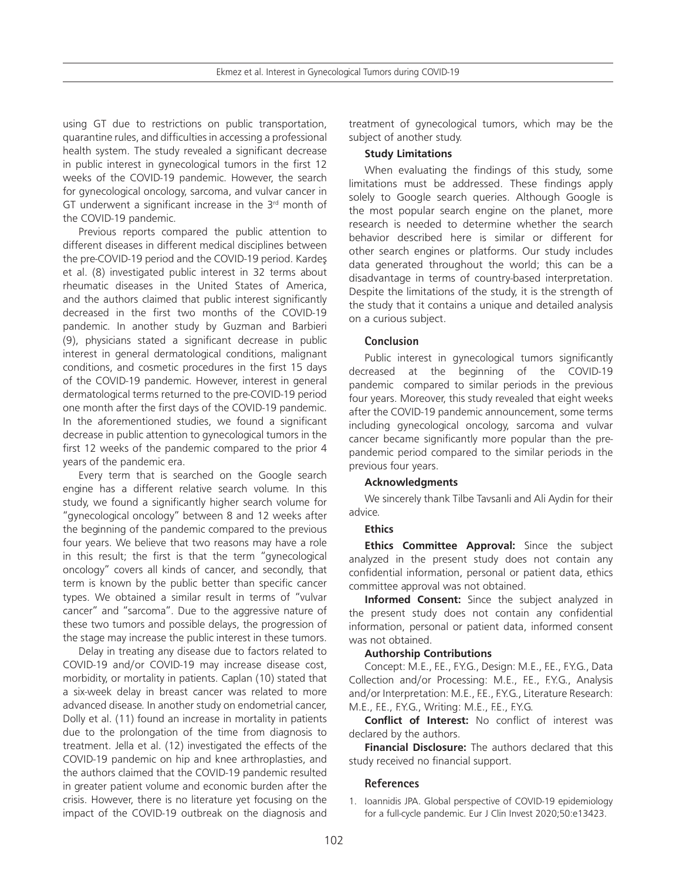using GT due to restrictions on public transportation, quarantine rules, and difficulties in accessing a professional health system. The study revealed a significant decrease in public interest in gynecological tumors in the first 12 weeks of the COVID-19 pandemic. However, the search for gynecological oncology, sarcoma, and vulvar cancer in GT underwent a significant increase in the  $3<sup>rd</sup>$  month of the COVID-19 pandemic.

Previous reports compared the public attention to different diseases in different medical disciplines between the pre-COVID-19 period and the COVID-19 period. Kardeş et al. (8) investigated public interest in 32 terms about rheumatic diseases in the United States of America, and the authors claimed that public interest significantly decreased in the first two months of the COVID-19 pandemic. In another study by Guzman and Barbieri (9), physicians stated a significant decrease in public interest in general dermatological conditions, malignant conditions, and cosmetic procedures in the first 15 days of the COVID-19 pandemic. However, interest in general dermatological terms returned to the pre-COVID-19 period one month after the first days of the COVID-19 pandemic. In the aforementioned studies, we found a significant decrease in public attention to gynecological tumors in the first 12 weeks of the pandemic compared to the prior 4 years of the pandemic era.

Every term that is searched on the Google search engine has a different relative search volume. In this study, we found a significantly higher search volume for "gynecological oncology" between 8 and 12 weeks after the beginning of the pandemic compared to the previous four years. We believe that two reasons may have a role in this result; the first is that the term "gynecological oncology" covers all kinds of cancer, and secondly, that term is known by the public better than specific cancer types. We obtained a similar result in terms of "vulvar cancer" and "sarcoma". Due to the aggressive nature of these two tumors and possible delays, the progression of the stage may increase the public interest in these tumors.

Delay in treating any disease due to factors related to COVID-19 and/or COVID-19 may increase disease cost, morbidity, or mortality in patients. Caplan (10) stated that a six-week delay in breast cancer was related to more advanced disease. In another study on endometrial cancer, Dolly et al. (11) found an increase in mortality in patients due to the prolongation of the time from diagnosis to treatment. Jella et al. (12) investigated the effects of the COVID-19 pandemic on hip and knee arthroplasties, and the authors claimed that the COVID-19 pandemic resulted in greater patient volume and economic burden after the crisis. However, there is no literature yet focusing on the impact of the COVID-19 outbreak on the diagnosis and treatment of gynecological tumors, which may be the subject of another study.

#### **Study Limitations**

When evaluating the findings of this study, some limitations must be addressed. These findings apply solely to Google search queries. Although Google is the most popular search engine on the planet, more research is needed to determine whether the search behavior described here is similar or different for other search engines or platforms. Our study includes data generated throughout the world; this can be a disadvantage in terms of country-based interpretation. Despite the limitations of the study, it is the strength of the study that it contains a unique and detailed analysis on a curious subject.

## **Conclusion**

Public interest in gynecological tumors significantly decreased at the beginning of the COVID-19 pandemic compared to similar periods in the previous four years. Moreover, this study revealed that eight weeks after the COVID-19 pandemic announcement, some terms including gynecological oncology, sarcoma and vulvar cancer became significantly more popular than the prepandemic period compared to the similar periods in the previous four years.

## **Acknowledgments**

We sincerely thank Tilbe Tavsanli and Ali Aydin for their advice.

## **Ethics**

**Ethics Committee Approval:** Since the subject analyzed in the present study does not contain any confidential information, personal or patient data, ethics committee approval was not obtained.

**Informed Consent:** Since the subject analyzed in the present study does not contain any confidential information, personal or patient data, informed consent was not obtained.

#### **Authorship Contributions**

Concept: M.E., F.E., F.Y.G., Design: M.E., F.E., F.Y.G., Data Collection and/or Processing: M.E., F.E., F.Y.G., Analysis and/or Interpretation: M.E., F.E., F.Y.G., Literature Research: M.E., F.E., F.Y.G., Writing: M.E., F.E., F.Y.G.

**Conflict of Interest:** No conflict of interest was declared by the authors.

**Financial Disclosure:** The authors declared that this study received no financial support.

## **References**

1. Ioannidis JPA. Global perspective of COVID-19 epidemiology for a full-cycle pandemic. Eur J Clin Invest 2020;50:e13423.